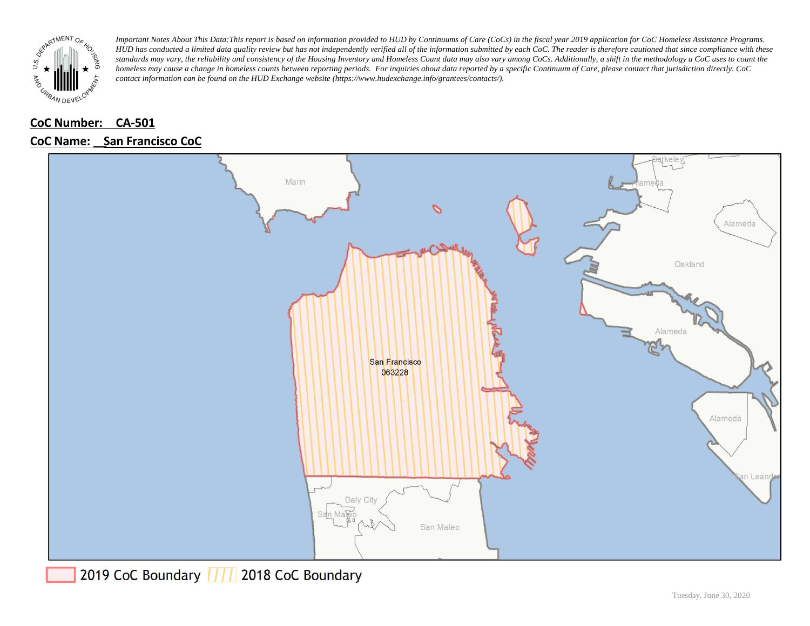

### **CoC Number: CA-501**

#### **CoC Name: \_\_ San Francisco CoC**



2019 CoC Boundary | | | 2018 CoC Boundary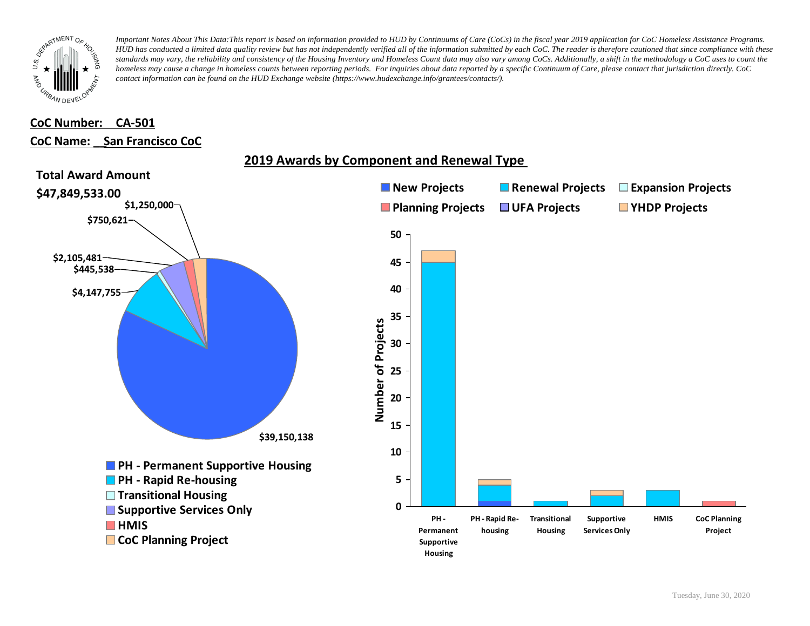

# **CoC Number: CA-501**

### **CoC Name: \_\_ San Francisco CoC**



# **2019 Awards by Component and Renewal Type**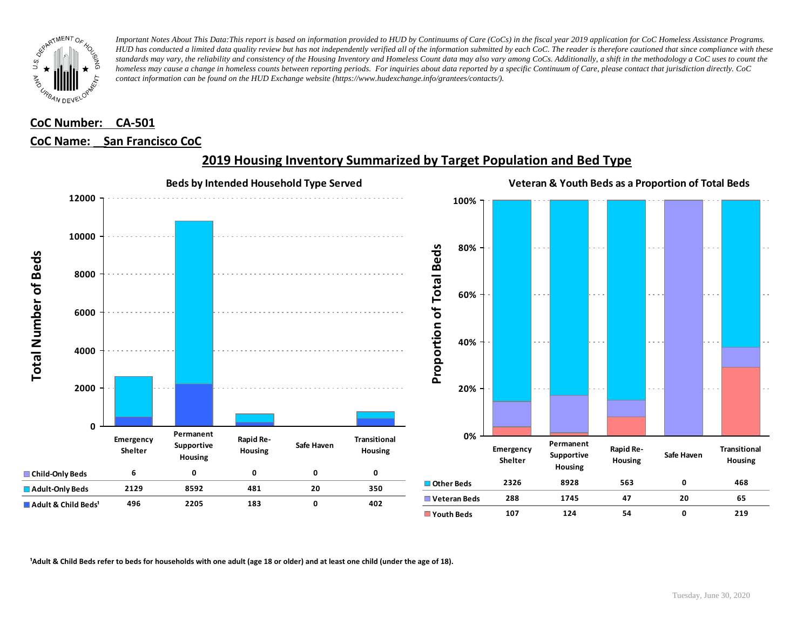

## **CoC Number: CA-501 CoC Name: \_\_ San Francisco CoC**



## **2019 Housing Inventory Summarized by Target Population and Bed Type**

<sup>1</sup> Adult & Child Beds refer to beds for households with one adult (age 18 or older) and at least one child (under the age of 18).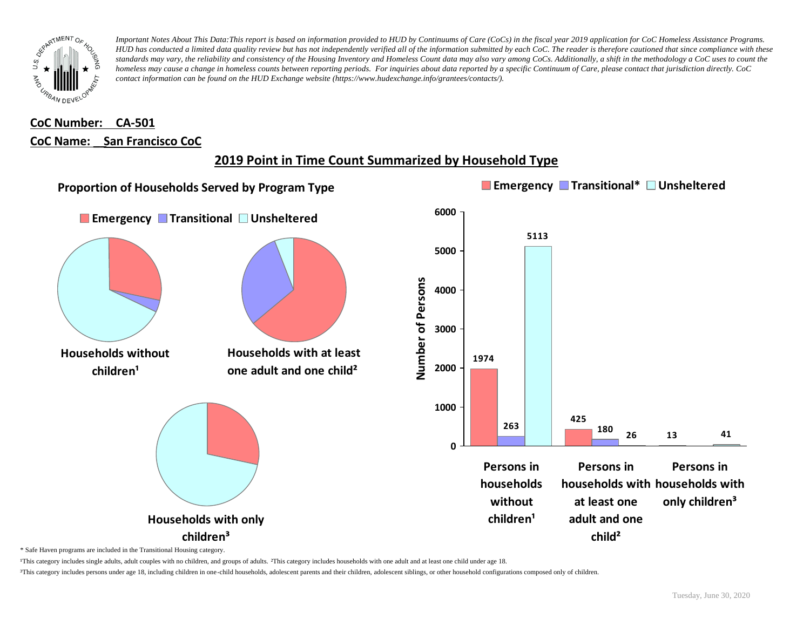

# **CoC Number: CA-501 CoC Name: \_\_ San Francisco CoC**

# **2019 Point in Time Count Summarized by Household Type**



\* Safe Haven programs are included in the Transitional Housing category.

¹This category includes single adults, adult couples with no children, and groups of adults. ²This category includes households with one adult and at least one child under age 18.

³This category includes persons under age 18, including children in one-child households, adolescent parents and their children, adolescent siblings, or other household configurations composed only of children.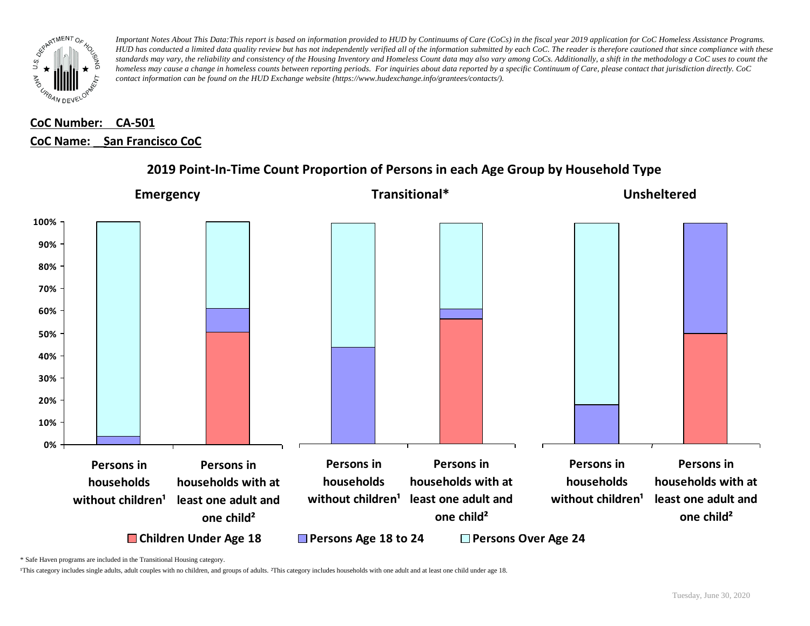

# **CoC Number: CA-501 CoC Name: \_\_ San Francisco CoC**



### **2019 Point-In-Time Count Proportion of Persons in each Age Group by Household Type**

\* Safe Haven programs are included in the Transitional Housing category.

¹This category includes single adults, adult couples with no children, and groups of adults. ²This category includes households with one adult and at least one child under age 18.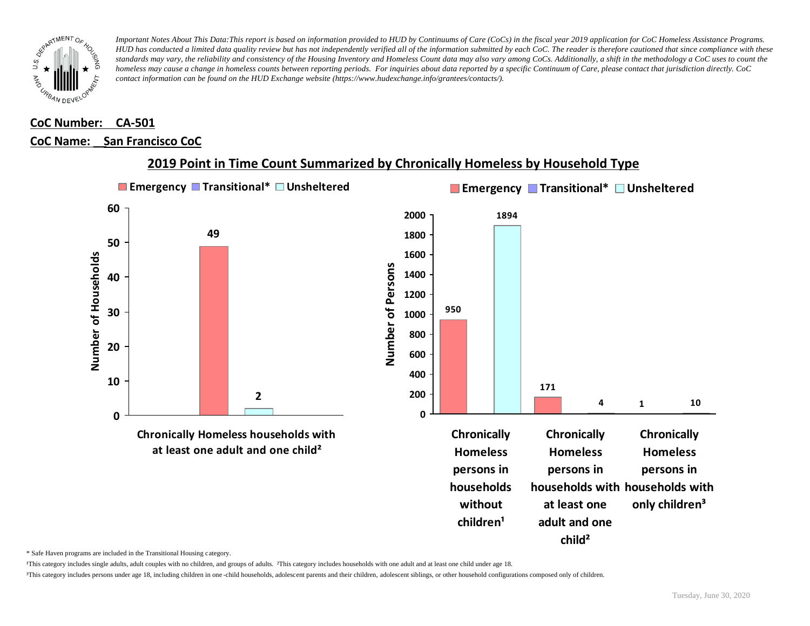

## **CoC Number: CA-501**

#### **CoC Name: \_\_ San Francisco CoC**



#### **2019 Point in Time Count Summarized by Chronically Homeless by Household Type**

\* Safe Haven programs are included in the Transitional Housing category.

¹This category includes single adults, adult couples with no children, and groups of adults. ²This category includes households with one adult and at least one child under age 18.

³This category includes persons under age 18, including children in one -child households, adolescent parents and their children, adolescent siblings, or other household configurations composed only of children.